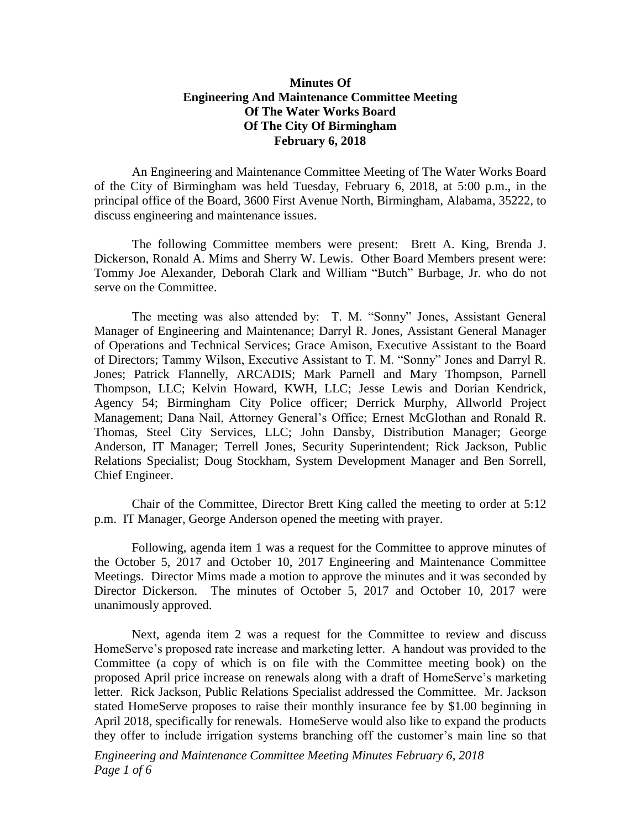## **Minutes Of Engineering And Maintenance Committee Meeting Of The Water Works Board Of The City Of Birmingham February 6, 2018**

An Engineering and Maintenance Committee Meeting of The Water Works Board of the City of Birmingham was held Tuesday, February 6, 2018, at 5:00 p.m., in the principal office of the Board, 3600 First Avenue North, Birmingham, Alabama, 35222, to discuss engineering and maintenance issues.

The following Committee members were present: Brett A. King, Brenda J. Dickerson, Ronald A. Mims and Sherry W. Lewis. Other Board Members present were: Tommy Joe Alexander, Deborah Clark and William "Butch" Burbage, Jr. who do not serve on the Committee.

The meeting was also attended by: T. M. "Sonny" Jones, Assistant General Manager of Engineering and Maintenance; Darryl R. Jones, Assistant General Manager of Operations and Technical Services; Grace Amison, Executive Assistant to the Board of Directors; Tammy Wilson, Executive Assistant to T. M. "Sonny" Jones and Darryl R. Jones; Patrick Flannelly, ARCADIS; Mark Parnell and Mary Thompson, Parnell Thompson, LLC; Kelvin Howard, KWH, LLC; Jesse Lewis and Dorian Kendrick, Agency 54; Birmingham City Police officer; Derrick Murphy, Allworld Project Management; Dana Nail, Attorney General's Office; Ernest McGlothan and Ronald R. Thomas, Steel City Services, LLC; John Dansby, Distribution Manager; George Anderson, IT Manager; Terrell Jones, Security Superintendent; Rick Jackson, Public Relations Specialist; Doug Stockham, System Development Manager and Ben Sorrell, Chief Engineer.

Chair of the Committee, Director Brett King called the meeting to order at 5:12 p.m. IT Manager, George Anderson opened the meeting with prayer.

Following, agenda item 1 was a request for the Committee to approve minutes of the October 5, 2017 and October 10, 2017 Engineering and Maintenance Committee Meetings. Director Mims made a motion to approve the minutes and it was seconded by Director Dickerson. The minutes of October 5, 2017 and October 10, 2017 were unanimously approved.

Next, agenda item 2 was a request for the Committee to review and discuss HomeServe's proposed rate increase and marketing letter. A handout was provided to the Committee (a copy of which is on file with the Committee meeting book) on the proposed April price increase on renewals along with a draft of HomeServe's marketing letter. Rick Jackson, Public Relations Specialist addressed the Committee. Mr. Jackson stated HomeServe proposes to raise their monthly insurance fee by \$1.00 beginning in April 2018, specifically for renewals. HomeServe would also like to expand the products they offer to include irrigation systems branching off the customer's main line so that

*Engineering and Maintenance Committee Meeting Minutes February 6, 2018 Page 1 of 6*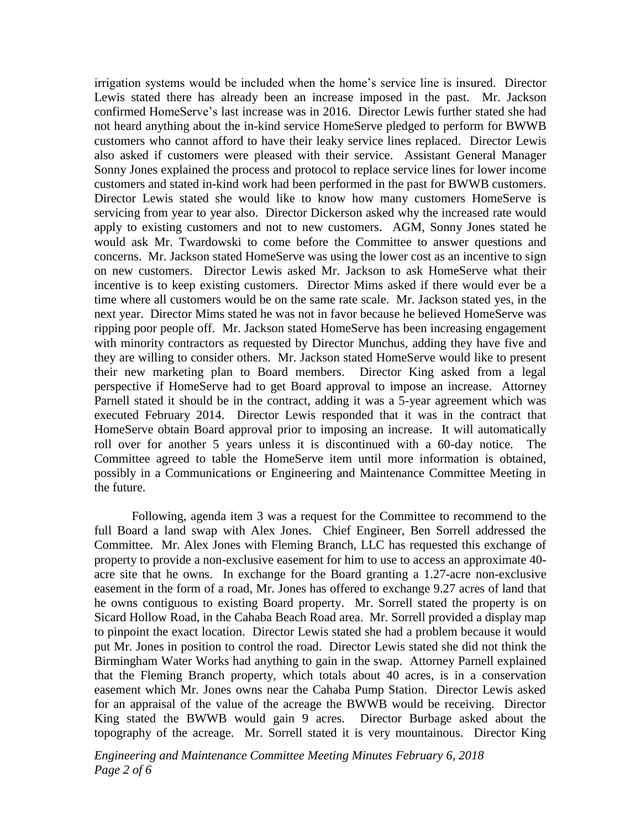irrigation systems would be included when the home's service line is insured. Director Lewis stated there has already been an increase imposed in the past. Mr. Jackson confirmed HomeServe's last increase was in 2016. Director Lewis further stated she had not heard anything about the in-kind service HomeServe pledged to perform for BWWB customers who cannot afford to have their leaky service lines replaced. Director Lewis also asked if customers were pleased with their service. Assistant General Manager Sonny Jones explained the process and protocol to replace service lines for lower income customers and stated in-kind work had been performed in the past for BWWB customers. Director Lewis stated she would like to know how many customers HomeServe is servicing from year to year also. Director Dickerson asked why the increased rate would apply to existing customers and not to new customers. AGM, Sonny Jones stated he would ask Mr. Twardowski to come before the Committee to answer questions and concerns. Mr. Jackson stated HomeServe was using the lower cost as an incentive to sign on new customers. Director Lewis asked Mr. Jackson to ask HomeServe what their incentive is to keep existing customers. Director Mims asked if there would ever be a time where all customers would be on the same rate scale. Mr. Jackson stated yes, in the next year. Director Mims stated he was not in favor because he believed HomeServe was ripping poor people off. Mr. Jackson stated HomeServe has been increasing engagement with minority contractors as requested by Director Munchus, adding they have five and they are willing to consider others. Mr. Jackson stated HomeServe would like to present their new marketing plan to Board members. Director King asked from a legal perspective if HomeServe had to get Board approval to impose an increase. Attorney Parnell stated it should be in the contract, adding it was a 5-year agreement which was executed February 2014. Director Lewis responded that it was in the contract that HomeServe obtain Board approval prior to imposing an increase. It will automatically roll over for another 5 years unless it is discontinued with a 60-day notice. The Committee agreed to table the HomeServe item until more information is obtained, possibly in a Communications or Engineering and Maintenance Committee Meeting in the future.

Following, agenda item 3 was a request for the Committee to recommend to the full Board a land swap with Alex Jones. Chief Engineer, Ben Sorrell addressed the Committee. Mr. Alex Jones with Fleming Branch, LLC has requested this exchange of property to provide a non-exclusive easement for him to use to access an approximate 40 acre site that he owns. In exchange for the Board granting a 1.27-acre non-exclusive easement in the form of a road, Mr. Jones has offered to exchange 9.27 acres of land that he owns contiguous to existing Board property. Mr. Sorrell stated the property is on Sicard Hollow Road, in the Cahaba Beach Road area. Mr. Sorrell provided a display map to pinpoint the exact location. Director Lewis stated she had a problem because it would put Mr. Jones in position to control the road. Director Lewis stated she did not think the Birmingham Water Works had anything to gain in the swap. Attorney Parnell explained that the Fleming Branch property, which totals about 40 acres, is in a conservation easement which Mr. Jones owns near the Cahaba Pump Station. Director Lewis asked for an appraisal of the value of the acreage the BWWB would be receiving. Director King stated the BWWB would gain 9 acres. Director Burbage asked about the topography of the acreage. Mr. Sorrell stated it is very mountainous. Director King

*Engineering and Maintenance Committee Meeting Minutes February 6, 2018 Page 2 of 6*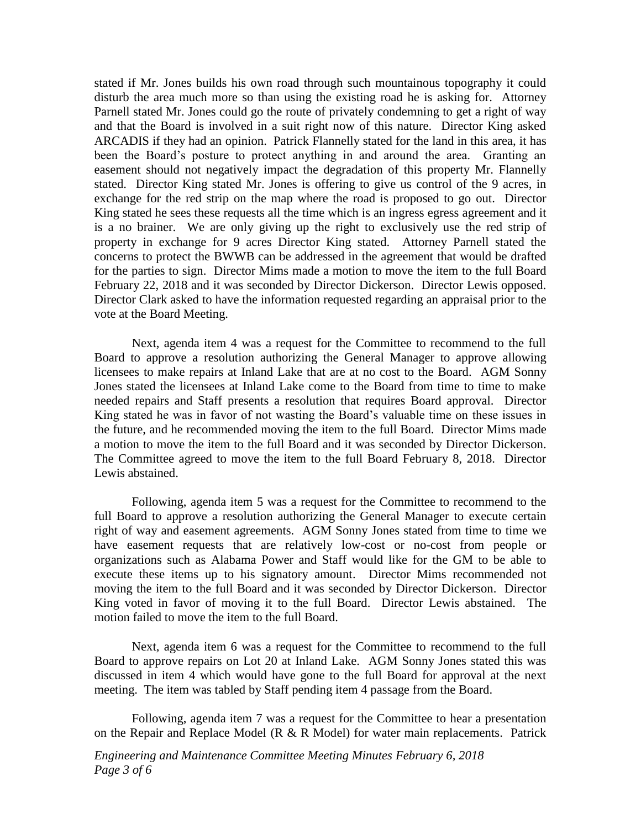stated if Mr. Jones builds his own road through such mountainous topography it could disturb the area much more so than using the existing road he is asking for. Attorney Parnell stated Mr. Jones could go the route of privately condemning to get a right of way and that the Board is involved in a suit right now of this nature. Director King asked ARCADIS if they had an opinion. Patrick Flannelly stated for the land in this area, it has been the Board's posture to protect anything in and around the area. Granting an easement should not negatively impact the degradation of this property Mr. Flannelly stated. Director King stated Mr. Jones is offering to give us control of the 9 acres, in exchange for the red strip on the map where the road is proposed to go out. Director King stated he sees these requests all the time which is an ingress egress agreement and it is a no brainer. We are only giving up the right to exclusively use the red strip of property in exchange for 9 acres Director King stated. Attorney Parnell stated the concerns to protect the BWWB can be addressed in the agreement that would be drafted for the parties to sign. Director Mims made a motion to move the item to the full Board February 22, 2018 and it was seconded by Director Dickerson. Director Lewis opposed. Director Clark asked to have the information requested regarding an appraisal prior to the vote at the Board Meeting.

Next, agenda item 4 was a request for the Committee to recommend to the full Board to approve a resolution authorizing the General Manager to approve allowing licensees to make repairs at Inland Lake that are at no cost to the Board. AGM Sonny Jones stated the licensees at Inland Lake come to the Board from time to time to make needed repairs and Staff presents a resolution that requires Board approval. Director King stated he was in favor of not wasting the Board's valuable time on these issues in the future, and he recommended moving the item to the full Board. Director Mims made a motion to move the item to the full Board and it was seconded by Director Dickerson. The Committee agreed to move the item to the full Board February 8, 2018. Director Lewis abstained.

Following, agenda item 5 was a request for the Committee to recommend to the full Board to approve a resolution authorizing the General Manager to execute certain right of way and easement agreements. AGM Sonny Jones stated from time to time we have easement requests that are relatively low-cost or no-cost from people or organizations such as Alabama Power and Staff would like for the GM to be able to execute these items up to his signatory amount. Director Mims recommended not moving the item to the full Board and it was seconded by Director Dickerson. Director King voted in favor of moving it to the full Board. Director Lewis abstained. The motion failed to move the item to the full Board.

Next, agenda item 6 was a request for the Committee to recommend to the full Board to approve repairs on Lot 20 at Inland Lake. AGM Sonny Jones stated this was discussed in item 4 which would have gone to the full Board for approval at the next meeting. The item was tabled by Staff pending item 4 passage from the Board.

Following, agenda item 7 was a request for the Committee to hear a presentation on the Repair and Replace Model ( $R \& R \text{ Model}$ ) for water main replacements. Patrick

*Engineering and Maintenance Committee Meeting Minutes February 6, 2018 Page 3 of 6*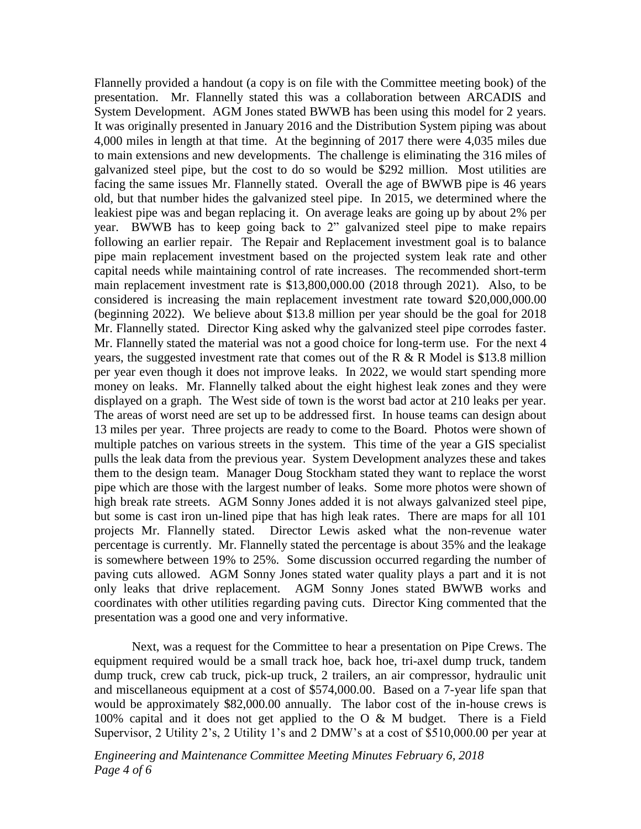Flannelly provided a handout (a copy is on file with the Committee meeting book) of the presentation. Mr. Flannelly stated this was a collaboration between ARCADIS and System Development. AGM Jones stated BWWB has been using this model for 2 years. It was originally presented in January 2016 and the Distribution System piping was about 4,000 miles in length at that time. At the beginning of 2017 there were 4,035 miles due to main extensions and new developments. The challenge is eliminating the 316 miles of galvanized steel pipe, but the cost to do so would be \$292 million. Most utilities are facing the same issues Mr. Flannelly stated. Overall the age of BWWB pipe is 46 years old, but that number hides the galvanized steel pipe. In 2015, we determined where the leakiest pipe was and began replacing it. On average leaks are going up by about 2% per year. BWWB has to keep going back to 2" galvanized steel pipe to make repairs following an earlier repair. The Repair and Replacement investment goal is to balance pipe main replacement investment based on the projected system leak rate and other capital needs while maintaining control of rate increases. The recommended short-term main replacement investment rate is \$13,800,000.00 (2018 through 2021). Also, to be considered is increasing the main replacement investment rate toward \$20,000,000.00 (beginning 2022). We believe about \$13.8 million per year should be the goal for 2018 Mr. Flannelly stated. Director King asked why the galvanized steel pipe corrodes faster. Mr. Flannelly stated the material was not a good choice for long-term use. For the next 4 years, the suggested investment rate that comes out of the R  $\&$  R Model is \$13.8 million per year even though it does not improve leaks. In 2022, we would start spending more money on leaks. Mr. Flannelly talked about the eight highest leak zones and they were displayed on a graph. The West side of town is the worst bad actor at 210 leaks per year. The areas of worst need are set up to be addressed first. In house teams can design about 13 miles per year. Three projects are ready to come to the Board. Photos were shown of multiple patches on various streets in the system. This time of the year a GIS specialist pulls the leak data from the previous year. System Development analyzes these and takes them to the design team. Manager Doug Stockham stated they want to replace the worst pipe which are those with the largest number of leaks. Some more photos were shown of high break rate streets. AGM Sonny Jones added it is not always galvanized steel pipe, but some is cast iron un-lined pipe that has high leak rates. There are maps for all 101 projects Mr. Flannelly stated. Director Lewis asked what the non-revenue water percentage is currently. Mr. Flannelly stated the percentage is about 35% and the leakage is somewhere between 19% to 25%. Some discussion occurred regarding the number of paving cuts allowed. AGM Sonny Jones stated water quality plays a part and it is not only leaks that drive replacement. AGM Sonny Jones stated BWWB works and coordinates with other utilities regarding paving cuts. Director King commented that the presentation was a good one and very informative.

Next, was a request for the Committee to hear a presentation on Pipe Crews. The equipment required would be a small track hoe, back hoe, tri-axel dump truck, tandem dump truck, crew cab truck, pick-up truck, 2 trailers, an air compressor, hydraulic unit and miscellaneous equipment at a cost of \$574,000.00. Based on a 7-year life span that would be approximately \$82,000.00 annually. The labor cost of the in-house crews is 100% capital and it does not get applied to the O & M budget. There is a Field Supervisor, 2 Utility 2's, 2 Utility 1's and 2 DMW's at a cost of \$510,000.00 per year at

*Engineering and Maintenance Committee Meeting Minutes February 6, 2018 Page 4 of 6*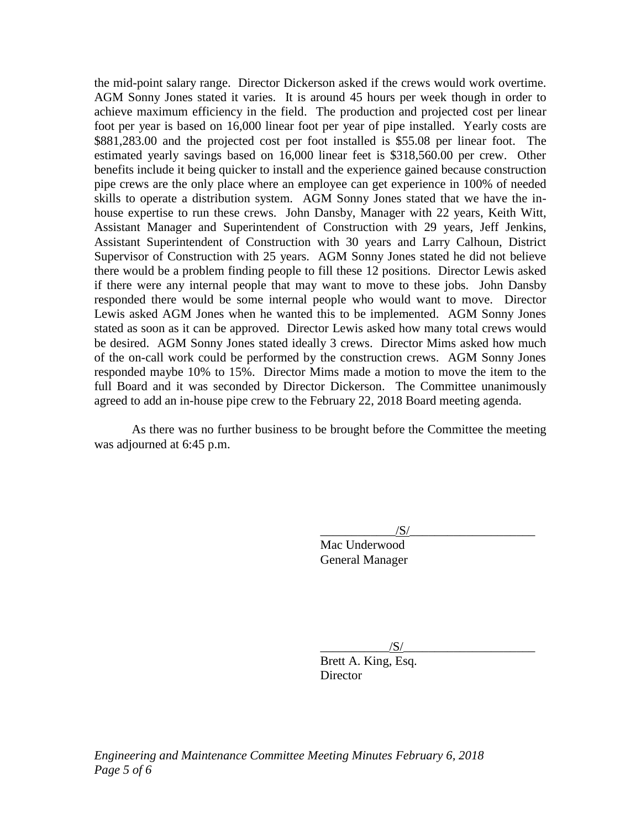the mid-point salary range. Director Dickerson asked if the crews would work overtime. AGM Sonny Jones stated it varies. It is around 45 hours per week though in order to achieve maximum efficiency in the field. The production and projected cost per linear foot per year is based on 16,000 linear foot per year of pipe installed. Yearly costs are \$881,283.00 and the projected cost per foot installed is \$55.08 per linear foot. The estimated yearly savings based on 16,000 linear feet is \$318,560.00 per crew. Other benefits include it being quicker to install and the experience gained because construction pipe crews are the only place where an employee can get experience in 100% of needed skills to operate a distribution system. AGM Sonny Jones stated that we have the inhouse expertise to run these crews. John Dansby, Manager with 22 years, Keith Witt, Assistant Manager and Superintendent of Construction with 29 years, Jeff Jenkins, Assistant Superintendent of Construction with 30 years and Larry Calhoun, District Supervisor of Construction with 25 years. AGM Sonny Jones stated he did not believe there would be a problem finding people to fill these 12 positions. Director Lewis asked if there were any internal people that may want to move to these jobs. John Dansby responded there would be some internal people who would want to move. Director Lewis asked AGM Jones when he wanted this to be implemented. AGM Sonny Jones stated as soon as it can be approved. Director Lewis asked how many total crews would be desired. AGM Sonny Jones stated ideally 3 crews. Director Mims asked how much of the on-call work could be performed by the construction crews. AGM Sonny Jones responded maybe 10% to 15%. Director Mims made a motion to move the item to the full Board and it was seconded by Director Dickerson. The Committee unanimously agreed to add an in-house pipe crew to the February 22, 2018 Board meeting agenda.

As there was no further business to be brought before the Committee the meeting was adjourned at 6:45 p.m.

 $\sqrt{S/}$ 

Mac Underwood General Manager

 $\frac{1}{\sqrt{S}}$ 

Brett A. King, Esq. **Director**